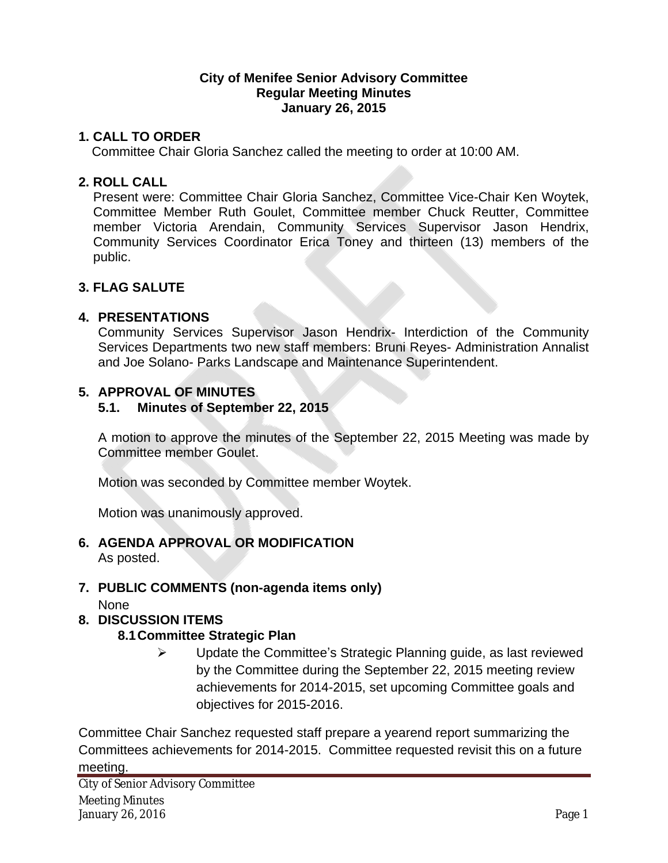#### **City of Menifee Senior Advisory Committee Regular Meeting Minutes January 26, 2015**

#### **1. CALL TO ORDER**

Committee Chair Gloria Sanchez called the meeting to order at 10:00 AM.

#### **2. ROLL CALL**

Present were: Committee Chair Gloria Sanchez, Committee Vice-Chair Ken Woytek, Committee Member Ruth Goulet, Committee member Chuck Reutter, Committee member Victoria Arendain, Community Services Supervisor Jason Hendrix, Community Services Coordinator Erica Toney and thirteen (13) members of the public.

#### **3. FLAG SALUTE**

#### **4. PRESENTATIONS**

Community Services Supervisor Jason Hendrix- Interdiction of the Community Services Departments two new staff members: Bruni Reyes- Administration Annalist and Joe Solano- Parks Landscape and Maintenance Superintendent.

#### **5. APPROVAL OF MINUTES**

#### **5.1. Minutes of September 22, 2015**

A motion to approve the minutes of the September 22, 2015 Meeting was made by Committee member Goulet.

Motion was seconded by Committee member Woytek.

Motion was unanimously approved.

# **6. AGENDA APPROVAL OR MODIFICATION**

As posted.

## **7. PUBLIC COMMENTS (non-agenda items only)**

None

## **8. DISCUSSION ITEMS**

## **8.1Committee Strategic Plan**

 $\triangleright$  Update the Committee's Strategic Planning guide, as last reviewed by the Committee during the September 22, 2015 meeting review achievements for 2014-2015, set upcoming Committee goals and objectives for 2015-2016.

Committee Chair Sanchez requested staff prepare a yearend report summarizing the Committees achievements for 2014-2015. Committee requested revisit this on a future meeting.

City of Senior Advisory Committee Meeting Minutes January 26, 2016 Page 1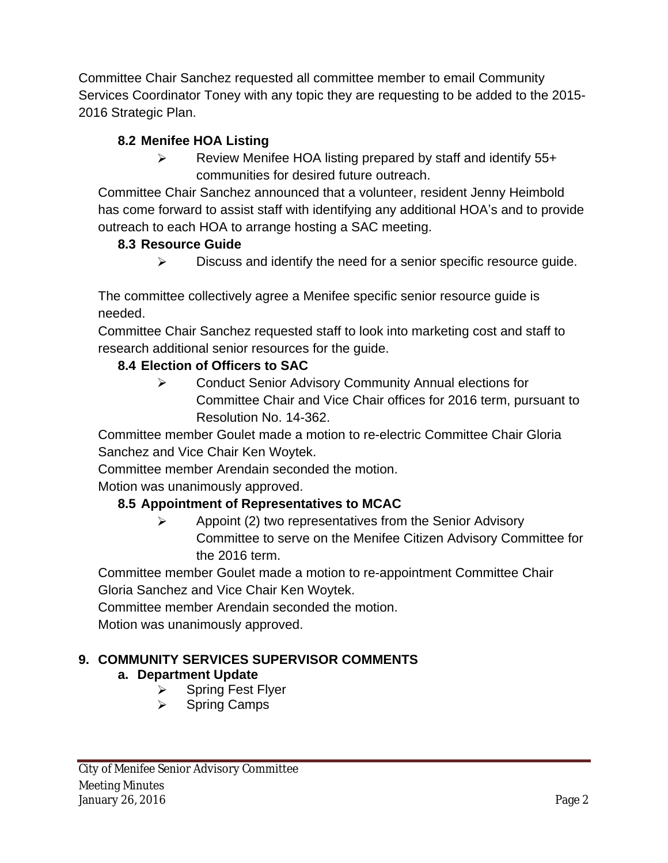Committee Chair Sanchez requested all committee member to email Community Services Coordinator Toney with any topic they are requesting to be added to the 2015- 2016 Strategic Plan.

# **8.2 Menifee HOA Listing**

 $\triangleright$  Review Menifee HOA listing prepared by staff and identify 55+ communities for desired future outreach.

Committee Chair Sanchez announced that a volunteer, resident Jenny Heimbold has come forward to assist staff with identifying any additional HOA's and to provide outreach to each HOA to arrange hosting a SAC meeting.

# **8.3 Resource Guide**

 $\triangleright$  Discuss and identify the need for a senior specific resource guide.

The committee collectively agree a Menifee specific senior resource guide is needed.

Committee Chair Sanchez requested staff to look into marketing cost and staff to research additional senior resources for the guide.

# **8.4 Election of Officers to SAC**

 Conduct Senior Advisory Community Annual elections for Committee Chair and Vice Chair offices for 2016 term, pursuant to Resolution No. 14-362.

Committee member Goulet made a motion to re-electric Committee Chair Gloria Sanchez and Vice Chair Ken Woytek.

Committee member Arendain seconded the motion.

Motion was unanimously approved.

# **8.5 Appointment of Representatives to MCAC**

 $\triangleright$  Appoint (2) two representatives from the Senior Advisory Committee to serve on the Menifee Citizen Advisory Committee for the 2016 term.

Committee member Goulet made a motion to re-appointment Committee Chair Gloria Sanchez and Vice Chair Ken Woytek.

Committee member Arendain seconded the motion.

Motion was unanimously approved.

# **9. COMMUNITY SERVICES SUPERVISOR COMMENTS**

# **a. Department Update**

- $\triangleright$  Spring Fest Flyer
- $\triangleright$  Spring Camps